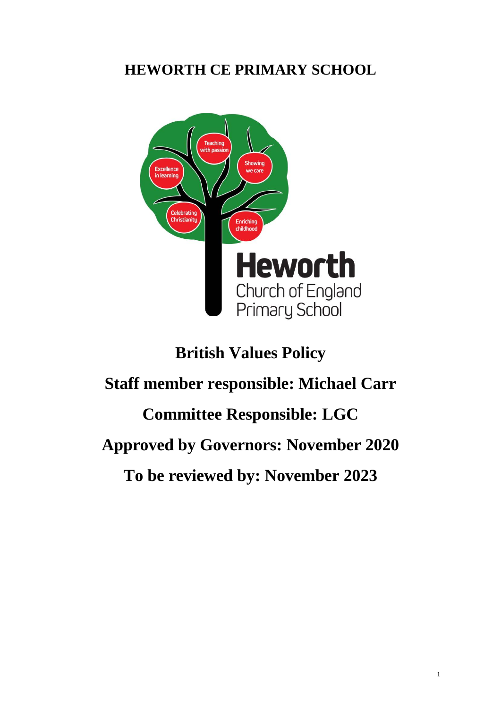## **HEWORTH CE PRIMARY SCHOOL**



# **British Values Policy**

# **Staff member responsible: Michael Carr**

# **Committee Responsible: LGC**

## **Approved by Governors: November 2020**

**To be reviewed by: November 2023**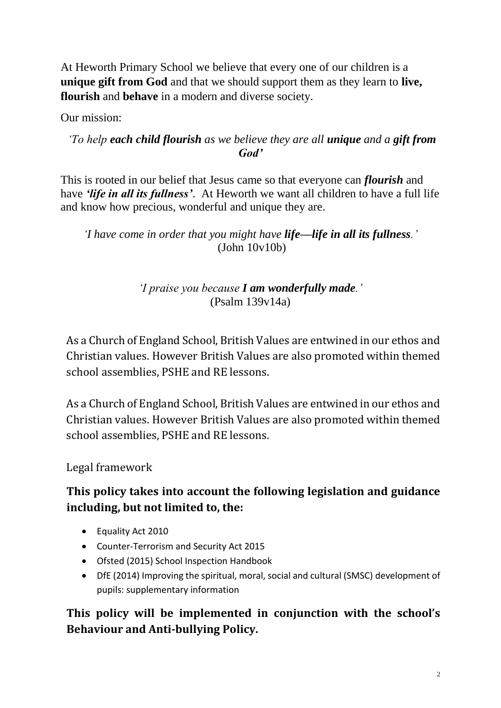At Heworth Primary School we believe that every one of our children is a **unique gift from God** and that we should support them as they learn to **live, flourish** and **behave** in a modern and diverse society.

Our mission:

#### *'To help each child flourish as we believe they are all unique and a gift from God'*

This is rooted in our belief that Jesus came so that everyone can *flourish* and have *'life in all its fullness'*. At Heworth we want all children to have a full life and know how precious, wonderful and unique they are.

*'I have come in order that you might have life—life in all its fullness.'* (John 10v10b)

### *'I praise you because I am wonderfully made.'*  (Psalm 139v14a)

As a Church of England School, British Values are entwined in our ethos and Christian values. However British Values are also promoted within themed school assemblies, PSHE and RE lessons.

As a Church of England School, British Values are entwined in our ethos and Christian values. However British Values are also promoted within themed school assemblies, PSHE and RE lessons.

Legal framework

## **This policy takes into account the following legislation and guidance including, but not limited to, the:**

- Equality Act 2010
- Counter-Terrorism and Security Act 2015
- Ofsted (2015) School Inspection Handbook
- DfE (2014) Improving the spiritual, moral, social and cultural (SMSC) development of pupils: supplementary information

## **This policy will be implemented in conjunction with the school's Behaviour and Anti-bullying Policy.**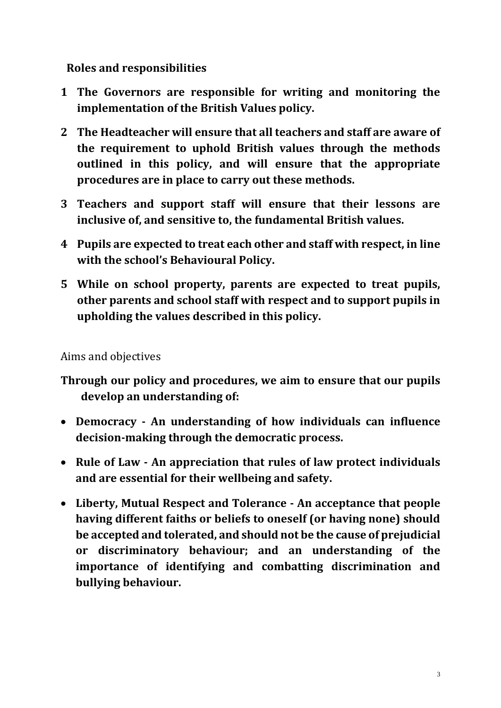**Roles and responsibilities**

- **1 The Governors are responsible for writing and monitoring the implementation of the British Values policy.**
- **2 The Headteacher will ensure that all teachers and staff are aware of the requirement to uphold British values through the methods outlined in this policy, and will ensure that the appropriate procedures are in place to carry out these methods.**
- **3 Teachers and support staff will ensure that their lessons are inclusive of, and sensitive to, the fundamental British values.**
- **4 Pupils are expected to treat each other and staff with respect, in line with the school's Behavioural Policy.**
- **5 While on school property, parents are expected to treat pupils, other parents and school staff with respect and to support pupils in upholding the values described in this policy.**

Aims and objectives

- **Through our policy and procedures, we aim to ensure that our pupils develop an understanding of:**
- **Democracy - An understanding of how individuals can influence decision-making through the democratic process.**
- **Rule of Law - An appreciation that rules of law protect individuals and are essential for their wellbeing and safety.**
- **Liberty, Mutual Respect and Tolerance - An acceptance that people having different faiths or beliefs to oneself (or having none) should be accepted and tolerated, and should not be the cause of prejudicial or discriminatory behaviour; and an understanding of the importance of identifying and combatting discrimination and bullying behaviour.**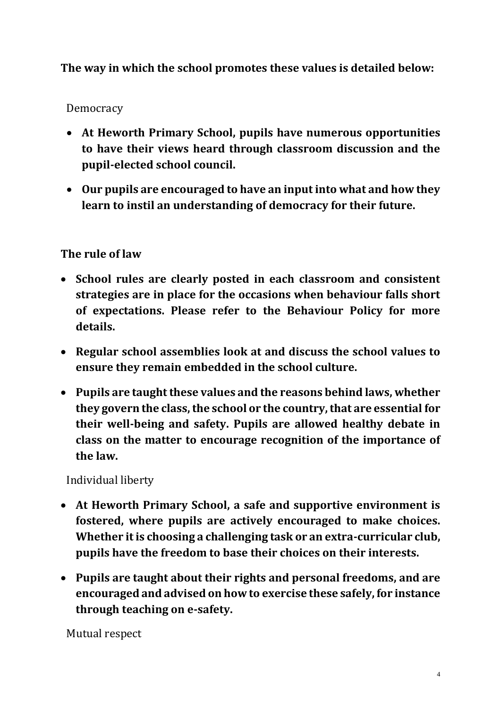## **The way in which the school promotes these values is detailed below:**

#### Democracy

- **At Heworth Primary School, pupils have numerous opportunities to have their views heard through classroom discussion and the pupil-elected school council.**
- **Our pupils are encouraged to have an input into what and how they learn to instil an understanding of democracy for their future.**

#### **The rule of law**

- **School rules are clearly posted in each classroom and consistent strategies are in place for the occasions when behaviour falls short of expectations. Please refer to the Behaviour Policy for more details.**
- **Regular school assemblies look at and discuss the school values to ensure they remain embedded in the school culture.**
- **Pupils are taught these values and the reasons behind laws, whether they govern the class, the school or the country, that are essential for their well-being and safety. Pupils are allowed healthy debate in class on the matter to encourage recognition of the importance of the law.**

Individual liberty

- **At Heworth Primary School, a safe and supportive environment is fostered, where pupils are actively encouraged to make choices. Whether it is choosing a challenging task or an extra-curricular club, pupils have the freedom to base their choices on their interests.**
- **Pupils are taught about their rights and personal freedoms, and are encouraged and advised on how to exercise these safely, for instance through teaching on e-safety.**

Mutual respect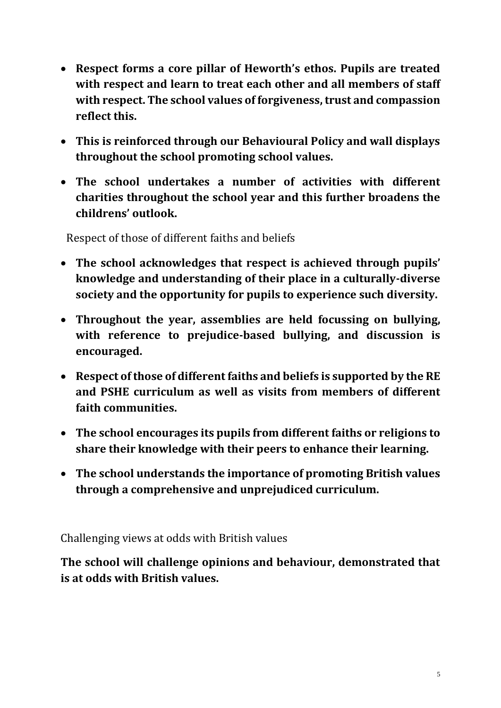- **Respect forms a core pillar of Heworth's ethos. Pupils are treated with respect and learn to treat each other and all members of staff with respect. The school values of forgiveness, trust and compassion reflect this.**
- **This is reinforced through our Behavioural Policy and wall displays throughout the school promoting school values.**
- **The school undertakes a number of activities with different charities throughout the school year and this further broadens the childrens' outlook.**

Respect of those of different faiths and beliefs

- **The school acknowledges that respect is achieved through pupils' knowledge and understanding of their place in a culturally-diverse society and the opportunity for pupils to experience such diversity.**
- **Throughout the year, assemblies are held focussing on bullying, with reference to prejudice-based bullying, and discussion is encouraged.**
- **Respect of those of different faiths and beliefs is supported by the RE and PSHE curriculum as well as visits from members of different faith communities.**
- **The school encourages its pupils from different faiths or religions to share their knowledge with their peers to enhance their learning.**
- **The school understands the importance of promoting British values through a comprehensive and unprejudiced curriculum.**

Challenging views at odds with British values

**The school will challenge opinions and behaviour, demonstrated that is at odds with British values.**